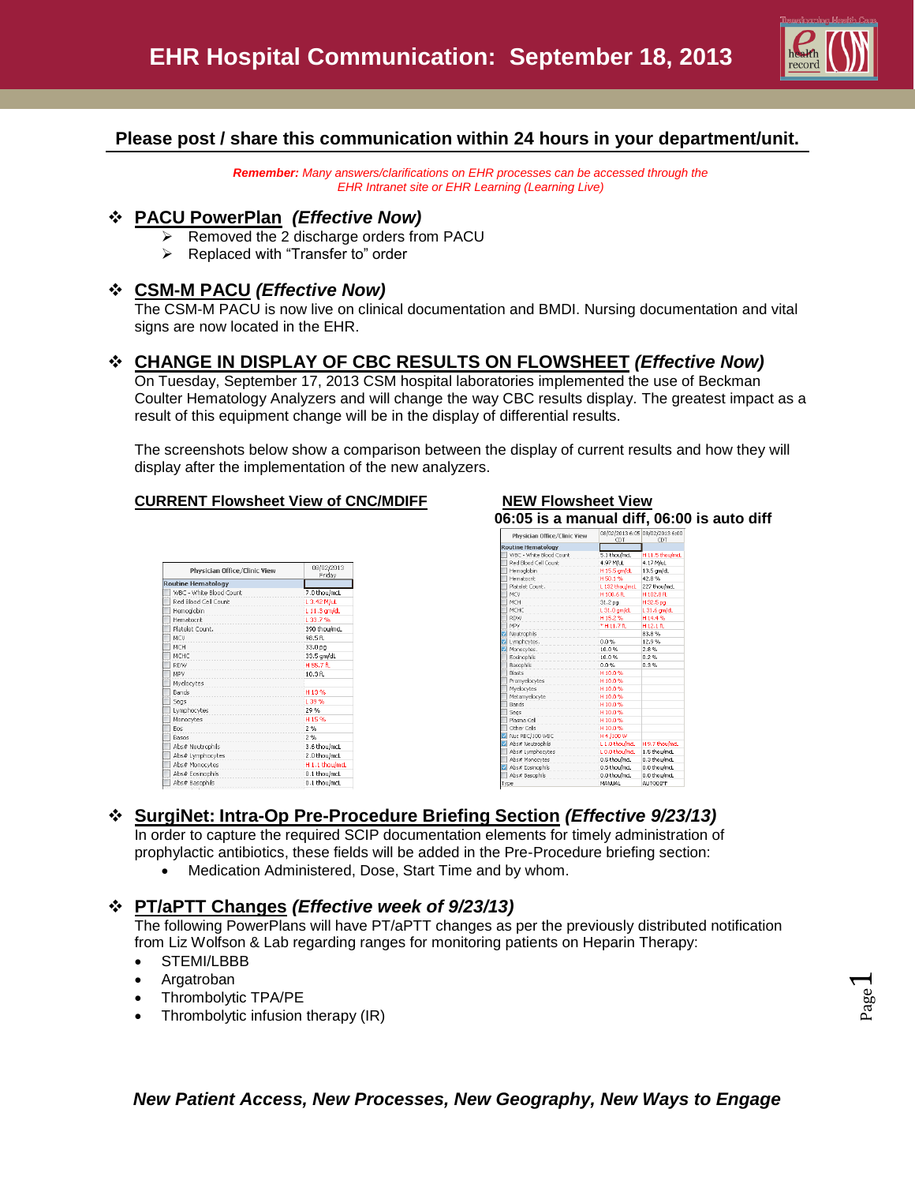

# **Please post / share this communication within 24 hours in your department/unit.**

*Remember: Many answers/clarifications on EHR processes can be accessed through the EHR Intranet site or EHR Learning (Learning Live)*

### **PACU PowerPlan** *(Effective Now)*

- $\triangleright$  Removed the 2 discharge orders from PACU
- $\triangleright$  Replaced with "Transfer to" order

### **CSM-M PACU** *(Effective Now)*

The CSM-M PACU is now live on clinical documentation and BMDI. Nursing documentation and vital signs are now located in the EHR.

# **CHANGE IN DISPLAY OF CBC RESULTS ON FLOWSHEET** *(Effective Now)*

On Tuesday, September 17, 2013 CSM hospital laboratories implemented the use of Beckman Coulter Hematology Analyzers and will change the way CBC results display. The greatest impact as a result of this equipment change will be in the display of differential results.

The screenshots below show a comparison between the display of current results and how they will display after the implementation of the new analyzers.

#### **CURRENT Flowsheet View of CNC/MDIFF**

| Physician Office/Clinic View | 08/02/2013<br>Friday      |  |
|------------------------------|---------------------------|--|
| <b>Routine Hematology</b>    |                           |  |
| WBC - White Blood Count      | 7.0 thou/mcL              |  |
| Red Blood Cell Count         | L 3.42 M/uL               |  |
| Hemoglobin                   | L 11.3 gm/dL              |  |
| Hematocrit                   | L 33.7%                   |  |
| Platelet Count.              | 390 thou/mcL              |  |
| MCV                          | 98.5 ft.                  |  |
| <b>MCH</b>                   | 33.0 pg                   |  |
| MCHC                         | 33.5 gm/dL                |  |
| RDW                          | H 55.7 fL                 |  |
| MPV                          | 10.3f1                    |  |
| Myelocytes                   |                           |  |
| Bands                        | H13%                      |  |
| Segs                         | L 39 %                    |  |
| Lymphocytes                  | 29 %                      |  |
| Monocytes                    | H <sub>15%</sub>          |  |
| Eos                          | 2%                        |  |
| Basos                        | 2%                        |  |
| Abs# Neutrophils             | 3.6 thou/mcL              |  |
| Abs# Lymphocytes             | 2.0 thou/mcL              |  |
| Abs# Monocytes               | H <sub>1.1</sub> thou/mcL |  |
| Abs# Eosinophils             | 0.1 thou/mcL              |  |
| Abs# Basophils               | 0.1 thou/mcL              |  |
|                              |                           |  |

| Physician Office/Clinic View | CDT            | 08/02/2013 6:05 08/02/2013 6:00<br>CDT |  |  |
|------------------------------|----------------|----------------------------------------|--|--|
| <b>Routine Hematology</b>    |                |                                        |  |  |
| WBC - White Blood Count      | 5.1 thou/mcL   | H 11.5 thou/mcL                        |  |  |
| Red Blood Cell Count         | 4.97 M/uL      | 4.17 M/uL                              |  |  |
| Hemoglobin                   | H 15.5 am/dL   | 13.5 am/dL                             |  |  |
| Hematocrit                   | H50.1%         | 42.8%                                  |  |  |
| Platelet Count.              | L 132 thou/mcL | 227 thou/mcL                           |  |  |
| <b>MCV</b>                   | H 100.6 ft.    | H102.8 fL                              |  |  |
| <b>MCH</b>                   | 31.2 pg        | H32.5 pg                               |  |  |
| MCHC                         | L 31.0 am/dL   | L 31.6 am/dL                           |  |  |
| <b>RDW</b>                   | H15.2%         | H14.4%                                 |  |  |
| <b>MPV</b>                   | *H11.7fL       | H12.1 ft.                              |  |  |
| Neutrophils                  |                | 83.8%                                  |  |  |
| Lymphcytes.                  | 0.0%           | 12.9%                                  |  |  |
| Monocytes.                   | 10.0%          | 2.8%                                   |  |  |
| Eosinophils                  | 10.0%          | 0.2%                                   |  |  |
| <b>Basophils</b>             | በ.በ%           | 0.3%                                   |  |  |
| <b>Blasts</b>                | H10.0%         |                                        |  |  |
| Promvelocytes                | H10.0%         |                                        |  |  |
| Myelocytes                   | H10.0%         |                                        |  |  |
| Metamvelocyte                | H10.0%         |                                        |  |  |
| <b>Bands</b>                 | H10.0%         |                                        |  |  |
| Segs                         | H10.0%         |                                        |  |  |
| Plasma Cell                  | H10.0%         |                                        |  |  |
| Other Cells                  | H10.0%         |                                        |  |  |
| Nuc RBC/100 WBC              | H 4 /100 W     |                                        |  |  |
| Abs# Neutrophils             | L 1.0 thou/mcL | H 9.7 thou/mcL                         |  |  |
| Abs# Lymphocytes             | L 0.0 thou/mcL | 1.5 thou/mcL                           |  |  |
| Abs# Monocytes               | 0.5 thou/mcL   | 0.3 thou/mcL                           |  |  |
| Abs# Eosinophils             | 0.5 thou/mcL   | 0.0 thou/mcL                           |  |  |
| Abs# Basophils               | 0.0 thou/mcL   | 0.0 thou/mcL                           |  |  |
| Type                         | MANUAL         | <b>AUTODIFF</b>                        |  |  |

# **SurgiNet: Intra-Op Pre-Procedure Briefing Section** *(Effective 9/23/13)*

In order to capture the required SCIP documentation elements for timely administration of prophylactic antibiotics, these fields will be added in the Pre-Procedure briefing section:

Medication Administered, Dose, Start Time and by whom.

## **PT/aPTT Changes** *(Effective week of 9/23/13)*

The following PowerPlans will have PT/aPTT changes as per the previously distributed notification from Liz Wolfson & Lab regarding ranges for monitoring patients on Heparin Therapy:

- STEMI/LBBB
- Argatroban
- Thrombolytic TPA/PE
- Thrombolytic infusion therapy (IR)